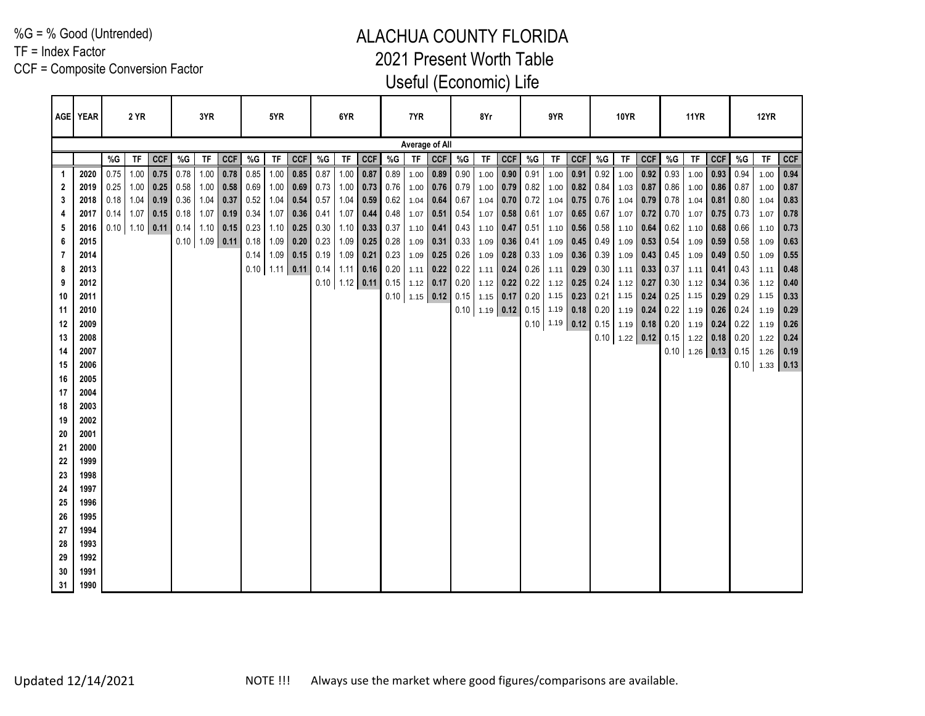TF = Index Factor

CCF = Composite Conversion Factor

|    | AGE YEAR |      | 2 YR |                  |                       | 3YR        |                  |      | 5YR  |                  |                       | 6YR  |                  |                             | 7YR            |             |                  | 8Yr              |      |                            | 9YR  |                             |       | <b>10YR</b> |     |                                                                       | <b>11YR</b> |             |                       | <b>12YR</b>      |      |
|----|----------|------|------|------------------|-----------------------|------------|------------------|------|------|------------------|-----------------------|------|------------------|-----------------------------|----------------|-------------|------------------|------------------|------|----------------------------|------|-----------------------------|-------|-------------|-----|-----------------------------------------------------------------------|-------------|-------------|-----------------------|------------------|------|
|    |          |      |      |                  |                       |            |                  |      |      |                  |                       |      |                  |                             | Average of All |             |                  |                  |      |                            |      |                             |       |             |     |                                                                       |             |             |                       |                  |      |
|    |          | %G   | TF   | CCF              | %G                    | ${\sf TF}$ | CCF              | %G   | TF   | CCF              | %G                    | TF   | ccF              | %G                          | TF             | CCF         | %G               | TF               | CCF  | %G                         | TF   | CCF                         | $\%G$ | TF          | CCF | %G                                                                    | TF          | <b>CCF</b>  | %G                    | ${\sf TF}$       | CCF  |
|    | 2020     | 0.75 | 1.00 | 0.75             | 0.78                  |            | $1.00$ 0.78      | 0.85 | 1.00 | 0.85             | 0.87                  | 1.00 | 0.87             | 0.89                        | 1.00           |             | $0.89$ 0.90      | 1.00             | 0.90 | 0.91                       | 1.00 | 0.91                        | 0.92  | 1.00        |     | $0.92$ 0.93                                                           | 1.00        | 0.93        | 0.94                  | 1.00             | 0.94 |
| 2  | 2019     | 0.25 |      | $1.00$ 0.25 0.58 |                       |            | $1.00$ 0.58 0.69 |      |      | $1.00$ 0.69 0.73 |                       | 1.00 | 0.73             | $\big  0.76$                | 1.00           |             | $0.76$ 0.79      | 1.00             | 0.79 | 0.82                       | 1.00 | $0.82 \ 0.84$               |       | 1.03        |     | $0.87$ 0.86                                                           | 1.00        |             | $0.86$ 0.87           | 1.00             | 0.87 |
| 3  | 2018     | 0.18 |      | $1.04$ 0.19 0.36 |                       |            | $1.04$ 0.37      | 0.52 | 1.04 | 0.54             | 0.57                  | 1.04 | 0.59             | $\big  0.62$                | 1.04           |             | $0.64$ 0.67      | 1.04             | 0.70 | 0.72                       | 1.04 | $0.75$ 0.76                 |       | 1.04        |     | $0.79$ 0.78                                                           | 1.04        |             | $0.81$ 0.80           | 1.04             | 0.83 |
|    | 2017     | 0.14 |      | $1.07$ 0.15 0.18 |                       |            | $1.07$ 0.19      | 0.34 | 1.07 | $0.36$ 0.41      |                       | 1.07 | 0.44             | $\bigcup$ 0.48              | 1.07           | 0.51        | 0.54             | 1.07             |      | $0.58$ 0.61                | 1.07 | $0.65$ 0.67                 |       | 1.07        |     | $0.72$ 0.70                                                           | 1.07        |             | $0.75$ 0.73           | 1.07             | 0.78 |
| 5  | 2016     |      |      |                  | $0.10$ 1.10 0.11 0.14 |            | $1.10$ 0.15      | 0.23 | 1.10 |                  | $0.25$ 0.30           | 1.10 |                  | $0.33 \ 0.37$               | 1.10           | 0.41        | 0.43             | 1.10             | 0.47 | 0.51                       |      | $1.10$ 0.56 0.58            |       | 1.10        |     | $0.64$ 0.62                                                           | 1.10        |             | $0.68$ 0.66           | 1.10             | 0.73 |
| 6  | 2015     |      |      |                  |                       |            | $0.10$ 1.09 0.11 | 0.18 |      | $1.09$ 0.20 0.23 |                       | 1.09 |                  | $0.25$ 0.28                 | 1.09           | 0.31        | 0.33             | 1.09             |      | $0.36$ 0.41                |      | $1.09$ 0.45 0.49            |       | 1.09        |     | $0.53$ 0.54                                                           | 1.09        | $0.59$ 0.58 |                       | 1.09             | 0.63 |
| 7  | 2014     |      |      |                  |                       |            |                  | 0.14 |      | $1.09$ 0.15 0.19 |                       |      | $1.09$ 0.21 0.23 |                             | 1.09           |             | $0.25 \ 0.26$    | 1.09             |      | $0.28$ 0.33 1.09 0.36 0.39 |      |                             |       | 1.09        |     | $0.43$ 0.45 1.09 0.49 0.50                                            |             |             |                       | 1.09             | 0.55 |
|    | 2013     |      |      |                  |                       |            |                  |      |      |                  | $0.10$ 1.11 0.11 0.14 |      | $1.11$ 0.16 0.20 |                             |                | $1.11$ 0.22 | 0.22             | 1.11             | 0.24 |                            |      | $0.26$   1.11   0.29   0.30 |       | 1.11        |     | $0.33 \mid 0.37 \mid$                                                 |             |             | $1.11$ 0.41 0.43      | 1.11             | 0.48 |
|    | 2012     |      |      |                  |                       |            |                  |      |      |                  |                       |      |                  | $0.10$   1.12   0.11   0.15 | $1.12$ 0.17    |             | 0.20             | 1.12             | 0.22 |                            |      | $0.22$ 1.12 0.25 0.24       |       | 1.12        |     | $0.27$ 0.30 1.12                                                      |             |             | $0.34 \ 0.36$         | 1.12             | 0.40 |
| 10 | 2011     |      |      |                  |                       |            |                  |      |      |                  |                       |      |                  | 0.10                        |                |             | $1.15$ 0.12 0.15 | $1.15$ 0.17      |      |                            |      | $0.20$ 1.15 0.23 0.21 1.15  |       |             |     | $0.24$ 0.25 1.15 0.29 0.29                                            |             |             |                       | 1.15             | 0.33 |
| 11 | 2010     |      |      |                  |                       |            |                  |      |      |                  |                       |      |                  |                             |                |             |                  | $0.10$ 1.19 0.12 |      |                            |      | $0.15$ 1.19 0.18 0.20 1.19  |       |             |     | $0.24$ 0.22 1.19 0.26 0.24                                            |             |             |                       | 1.19             | 0.29 |
| 12 | 2009     |      |      |                  |                       |            |                  |      |      |                  |                       |      |                  |                             |                |             |                  |                  |      |                            |      |                             |       |             |     | $0.10$   1.19   0.12   0.15   1.19   0.18   0.20   1.19   0.24   0.22 |             |             |                       | 1.19             | 0.26 |
| 13 | 2008     |      |      |                  |                       |            |                  |      |      |                  |                       |      |                  |                             |                |             |                  |                  |      |                            |      |                             |       |             |     | $0.10$   1.22   0.12   0.15   1.22   0.18   0.20                      |             |             |                       | 1.22             | 0.24 |
| 14 | 2007     |      |      |                  |                       |            |                  |      |      |                  |                       |      |                  |                             |                |             |                  |                  |      |                            |      |                             |       |             |     |                                                                       |             |             | $0.10$ 1.26 0.13 0.15 | 1.26             | 0.19 |
| 15 | 2006     |      |      |                  |                       |            |                  |      |      |                  |                       |      |                  |                             |                |             |                  |                  |      |                            |      |                             |       |             |     |                                                                       |             |             |                       | $0.10$ 1.33 0.13 |      |
| 16 | 2005     |      |      |                  |                       |            |                  |      |      |                  |                       |      |                  |                             |                |             |                  |                  |      |                            |      |                             |       |             |     |                                                                       |             |             |                       |                  |      |
| 17 | 2004     |      |      |                  |                       |            |                  |      |      |                  |                       |      |                  |                             |                |             |                  |                  |      |                            |      |                             |       |             |     |                                                                       |             |             |                       |                  |      |
| 18 | 2003     |      |      |                  |                       |            |                  |      |      |                  |                       |      |                  |                             |                |             |                  |                  |      |                            |      |                             |       |             |     |                                                                       |             |             |                       |                  |      |
| 19 | 2002     |      |      |                  |                       |            |                  |      |      |                  |                       |      |                  |                             |                |             |                  |                  |      |                            |      |                             |       |             |     |                                                                       |             |             |                       |                  |      |
| 20 | 2001     |      |      |                  |                       |            |                  |      |      |                  |                       |      |                  |                             |                |             |                  |                  |      |                            |      |                             |       |             |     |                                                                       |             |             |                       |                  |      |
| 21 | 2000     |      |      |                  |                       |            |                  |      |      |                  |                       |      |                  |                             |                |             |                  |                  |      |                            |      |                             |       |             |     |                                                                       |             |             |                       |                  |      |
| 22 | 1999     |      |      |                  |                       |            |                  |      |      |                  |                       |      |                  |                             |                |             |                  |                  |      |                            |      |                             |       |             |     |                                                                       |             |             |                       |                  |      |
| 23 | 1998     |      |      |                  |                       |            |                  |      |      |                  |                       |      |                  |                             |                |             |                  |                  |      |                            |      |                             |       |             |     |                                                                       |             |             |                       |                  |      |
| 24 | 1997     |      |      |                  |                       |            |                  |      |      |                  |                       |      |                  |                             |                |             |                  |                  |      |                            |      |                             |       |             |     |                                                                       |             |             |                       |                  |      |
| 25 | 1996     |      |      |                  |                       |            |                  |      |      |                  |                       |      |                  |                             |                |             |                  |                  |      |                            |      |                             |       |             |     |                                                                       |             |             |                       |                  |      |
| 26 | 1995     |      |      |                  |                       |            |                  |      |      |                  |                       |      |                  |                             |                |             |                  |                  |      |                            |      |                             |       |             |     |                                                                       |             |             |                       |                  |      |
| 27 | 1994     |      |      |                  |                       |            |                  |      |      |                  |                       |      |                  |                             |                |             |                  |                  |      |                            |      |                             |       |             |     |                                                                       |             |             |                       |                  |      |
| 28 | 1993     |      |      |                  |                       |            |                  |      |      |                  |                       |      |                  |                             |                |             |                  |                  |      |                            |      |                             |       |             |     |                                                                       |             |             |                       |                  |      |
| 29 | 1992     |      |      |                  |                       |            |                  |      |      |                  |                       |      |                  |                             |                |             |                  |                  |      |                            |      |                             |       |             |     |                                                                       |             |             |                       |                  |      |
| 30 | 1991     |      |      |                  |                       |            |                  |      |      |                  |                       |      |                  |                             |                |             |                  |                  |      |                            |      |                             |       |             |     |                                                                       |             |             |                       |                  |      |
| 31 | 1990     |      |      |                  |                       |            |                  |      |      |                  |                       |      |                  |                             |                |             |                  |                  |      |                            |      |                             |       |             |     |                                                                       |             |             |                       |                  |      |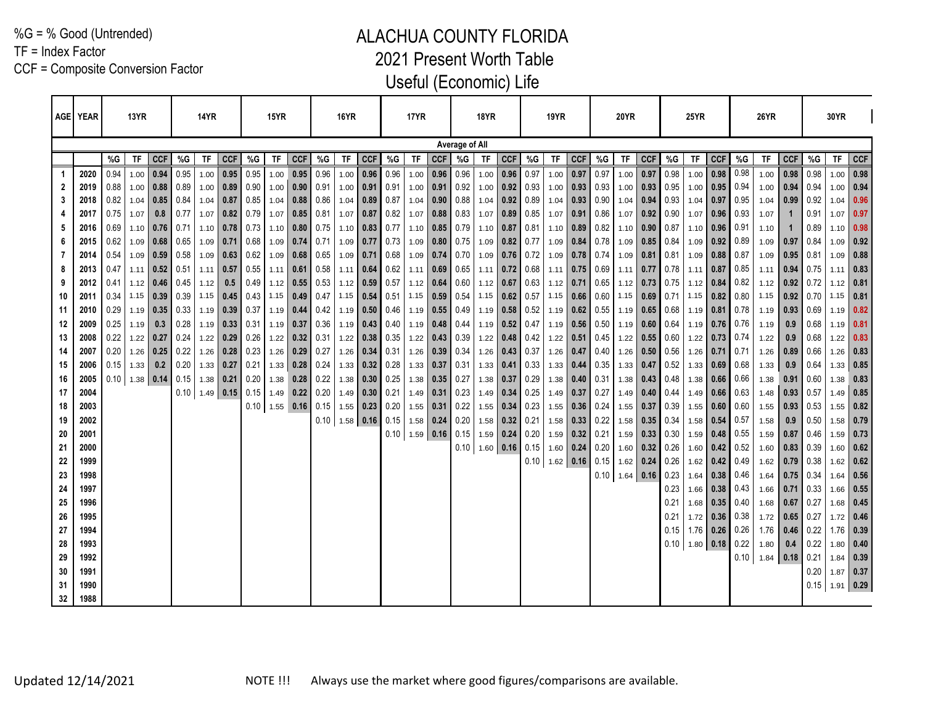TF = Index Factor

CCF = Composite Conversion Factor

|          | AGE YEAR     |              | 13YR         |                  |              | <b>14YR</b>  |             |              | 15YR         |                         |              | <b>16YR</b>  |                  |                              | 17YR                 |              |                | <b>18YR</b>      |                                 |              | 19YR                   |                    |              | <b>20YR</b>  |              |              | <b>25YR</b>           |                     |              | <b>26YR</b>  |                  |              | <b>30YR</b> |                            |
|----------|--------------|--------------|--------------|------------------|--------------|--------------|-------------|--------------|--------------|-------------------------|--------------|--------------|------------------|------------------------------|----------------------|--------------|----------------|------------------|---------------------------------|--------------|------------------------|--------------------|--------------|--------------|--------------|--------------|-----------------------|---------------------|--------------|--------------|------------------|--------------|-------------|----------------------------|
|          |              |              |              |                  |              |              |             |              |              |                         |              |              |                  |                              |                      |              |                |                  |                                 |              |                        |                    |              |              |              |              |                       |                     |              |              |                  |              |             |                            |
|          |              |              |              |                  |              |              |             |              |              |                         |              |              |                  |                              |                      |              | Average of All |                  |                                 |              |                        |                    |              |              |              |              |                       |                     |              |              |                  |              |             |                            |
|          |              | %G           | TF           | <b>CCF</b>       | %G           | <b>TF</b>    | <b>CCF</b>  | %G           | TF           | <b>CCF</b>              | %G           | <b>TF</b>    | <b>CCF</b>       | %G                           | <b>TF</b>            | <b>CCF</b>   | %G             | TF               | <b>CCF</b>                      | %G           | $\mathsf{T}\mathsf{F}$ | <b>CCF</b>         | %G           | TF           | <b>CCF</b>   | %G           | TF                    | <b>CCF</b>          | %G           | TF           | <b>CCF</b>       | %G           | TF          | <b>CCF</b>                 |
|          | 2020         | 0.94         | 1.00         | 0.94             | 0.95         | 1.00         | 0.95        | 0.95         | 1.00         | 0.95                    | 0.96         | 1.00         | 0.96             | 0.96                         | 1.00                 | 0.96         | 0.96           | 1.00             | 0.96                            | 0.97         |                        | $1.00$ 0.97        | 0.97         | 1.00         | 0.97         | 0.98         | 1.00                  | 0.98                | $\big  0.98$ | 1.00         | 0.98             | 0.98         | 1.00        | 0.98                       |
| 2        | 2019         | 0.88         | 1.00         | 0.88             | 0.89         | 1.00         | 0.89        | 0.90         | 1.00         | 0.90                    | 0.91         | 1.00         |                  | $0.91$ 0.91                  | 1.00                 | 0.91         | 0.92           | 1.00             | 0.92                            | 0.93         | 1.00                   | $0.93$ 0.93        |              | 1.00         | 0.93         | 0.95         | 1.00                  | $0.95$ 0.94         |              | 1.00         | 0.94             | 0.94         |             | $1.00$ 0.94                |
| 3        | 2018         | 0.82         | 1.04         | 0.85             | 0.84         | 1.04         | 0.87        | 0.85         | 1.04         | 0.88                    | 0.86         | 1.04         |                  | $0.89$ 0.87                  | 1.04                 | 0.90         | 0.88           |                  | $1.04$ 0.92                     | 0.89         | 1.04                   | 0.93               | 0.90         | 1.04         | 0.94         | 0.93         | 1.04                  | 0.97                | $\big  0.95$ | 1.04         | 0.99             | 0.92         |             | $1.04$ 0.96                |
|          | 2017         | 0.75         | 1.07         | 0.8              | 0.77         | 1.07         | 0.82        | 0.79         | 1.07         | 0.85                    | 0.81         | 1.07         |                  | $0.87$ 0.82                  | 1.07                 | 0.88         | 0.83           | 1.07             | 0.89                            | 0.85         | 1.07                   | 0.91               | 0.86         | 1.07         | 0.92         | 0.90         | 1.07                  | $0.96 \mid 0.93$    |              | 1.07         | $\mathbf{1}$     | 0.91         | 1.07        | 0.97                       |
| 5        | 2016<br>2015 | 0.69         | 1.10         | 0.76             | 0.71         | 1.10         | 0.78        | 0.73<br>0.68 | 1.10         | 0.80                    | 0.75         | 1.10         |                  | $0.83$ 0.77                  | 1.10                 | 0.85         | 0.79           |                  | $1.10$ 0.87                     | 0.81         | 1.10                   | $\vert$ 0.89       | 0.82         | 1.10         | 0.90         | 0.87         | 1.10                  | $0.96$ 0.91         |              | 1.10         | $\mathbf{1}$     | 0.89         |             | $1.10$ 0.98                |
|          |              | 0.62         | 1.09         | 0.68             | 0.65         | 1.09         | 0.71        |              | 1.09         | 0.74                    | 0.71         | 1.09         |                  | $0.77$ 0.73                  | 1.09                 | 0.80         | 0.75           |                  | $1.09$ 0.82                     | 0.77         | 1.09                   | 0.84               | 0.78         | 1.09         | 0.85         | 0.84         | 1.09                  | $0.92 \ 0.89$       |              | 1.09         | 0.97             | 0.84         |             | $1.09$ 0.92                |
|          | 2014         | 0.54         | 1.09         | 0.59             | 0.58         | 1.09         | 0.63        | 0.62         | 1.09         | 0.68                    | 0.65         | 1.09         |                  | $0.71$ 0.68                  | 1.09                 | 0.74         | 0.70           |                  | $1.09$ 0.76                     | 0.72         | 1.09                   | 0.78               | 0.74         | 1.09         | 0.81         | 0.81         | 1.09                  | $0.88$ 0.87         | $\big  0.85$ | 1.09         | 0.95             | 0.81         | 1.09        | 0.88                       |
|          | 2013<br>2012 | 0.47<br>0.41 | 1.11         | 0.52             | 0.51<br>0.45 | 1.11         | 0.57<br>0.5 | 0.55<br>0.49 | 1.11         | 0.61                    | 0.58<br>0.53 | 1.11         |                  | $0.64 \ 0.62$<br>$0.59$ 0.57 | 1.11                 | 0.69<br>0.64 | 0.65<br>0.60   |                  | $1.11$ 0.72<br>$1.12$ 0.67      | 0.68<br>0.63 | 1.11                   | 0.75               | 0.69<br>0.65 | 1.11         | 0.77<br>0.73 | 0.78<br>0.75 | 1.11                  | 0.87                | $0.84$ 0.82  | 1.11         | 0.94<br>0.92     | 0.75<br>0.72 |             | $1.11$ 0.83<br>$1.12$ 0.81 |
|          | 2011         | 0.34         | 1.12<br>1.15 | 0.46 <br>0.39    | 0.39         | 1.12<br>1.15 | 0.45        | 0.43         | 1.12<br>1.15 | $0.55$ 1<br>0.49        | 0.47         | 1.12<br>1.15 |                  | $0.54$ 0.51                  | 1.12<br>1.15         | $0.59$ 0.54  |                | 1.15             | $0.62$ 0.57                     |              | 1.12<br>1.15           | 0.71  <br>0.66     | 0.60         | 1.12<br>1.15 | 0.69         | 0.71         | 1.12<br>1.15          | $0.82 \ 0.80$       |              | 1.12<br>1.15 | 0.92             | 0.70         | $1.15$ 0.81 |                            |
| 10<br>11 | 2010         | 0.29         |              | 0.35             | 0.33         | 1.19         | 0.39        | 0.37         | 1.19         | 0.44                    | 0.42         |              |                  | 0.46                         |                      | $0.55$ 0.49  |                |                  |                                 |              |                        | $0.62 \ 0.55$      |              |              | 0.65         | 0.68         |                       | $0.81$ 0.78         |              | 1.19         | 0.93             | 0.69         |             | $1.19$ 0.82                |
| 12       | 2009         | 0.25         | 1.19<br>1.19 | 0.3              | 0.28         | 1.19         | 0.33        | 0.31         | 1.19         | $\vert$ 0.37            | 0.36         | 1.19<br>1.19 | 0.50             | $0.43 \ 0.40$                | 1.19<br>1.19         | 0.48         | 0.44           |                  | $1.19$ 0.58 0.52<br>$1.19$ 0.52 | 0.47         | 1.19                   | $1.19$ 0.56        | 0.50         | 1.19<br>1.19 | 0.60         | 0.64         | 1.19<br>1.19          | $0.76$ 0.76         |              | 1.19         | 0.9              | 0.68         |             | $1.19$ 0.81                |
| 13       | 2008         | 0.22         | 1.22         | 0.27             | 0.24         | 1.22         | 0.29        | 0.26         | 1.22         | $\mid$ 0.32 $\mid$ 0.31 |              | 1.22         |                  | $0.38$ 0.35                  | 1.22                 | 0.43         | 0.39           |                  | $1.22$ 0.48                     | 0.42         |                        | $1.22$ 0.51        | 0.45         | 1.22         | 0.55         | 0.60         | 1.22                  | $0.73 \mid 0.74$    |              | 1.22         | 0.9              | 0.68         | 1.22        | 0.83                       |
| 14       | 2007         | 0.20         | 1.26         | 0.25             | 0.22         | 1.26         | 0.28        | 0.23         | 1.26         | 0.29                    | 0.27         | 1.26         |                  | $0.34$ 0.31                  | 1.26                 | 0.39         | 0.34           |                  | $1.26$ 0.43                     | 0.37         |                        | $1.26$ 0.47        | 0.40         | 1.26         | 0.50         | 0.56         | 1.26                  | $0.71$ 0.71         |              | 1.26         | 0.89             | 0.66         |             | $1.26$ 0.83                |
| 15       | 2006         | 0.15         | 1.33         | 0.2              | 0.20         | 1.33         | 0.27        | 0.21         | 1.33         | $0.28$ 0.24             |              | 1.33         |                  | $0.32 \ 0.28$                | 1.33                 | 0.37         | 0.31           |                  | $1.33$ 0.41                     | 0.33         |                        | $1.33$ 0.44        | 0.35         | 1.33         | 0.47         | 0.52         | 1.33                  | $0.69 \mid 0.68$    |              | 1.33         | 0.9              | 0.64         |             | $1.33$ 0.85                |
| 16       | 2005         |              |              | $0.10$ 1.38 0.14 | 0.15         |              | $1.38$ 0.21 | 0.20         | 1.38         | $0.28$ 0.22             |              | 1.38         |                  | $0.30 \,   \, 0.25$          | 1.38                 | 0.35         | 0.27           |                  | $1.38$ 0.37                     | 0.29         | 1.38                   | 0.40               | 0.31         | 1.38         | 0.43         | 0.48         | 1.38                  | $0.66$ 0.66         |              | 1.38         | 0.91             | 0.60         | 1.38        | 0.83                       |
| 17       | 2004         |              |              |                  | 0.10         |              | $1.49$ 0.15 | 0.15         |              | $1.49$ 0.22 0.20        |              | 1.49         |                  | $0.30 \mid 0.21$             | 1.49                 | 0.31         | 0.23           |                  | $1.49$ 0.34                     | 0.25         | 1.49                   | $\vert 0.37 \vert$ | 0.27         | 1.49         | 0.40         | 0.44         | 1.49                  | $0.66$ 0.63         |              | 1.48         | 0.93             | 0.57         |             | $1.49$ 0.85                |
| 18       | 2003         |              |              |                  |              |              |             | 0.10         |              | $1.55$ 0.16             | 0.15         |              | $1.55$ 0.23      | 0.20                         | 1.55                 | 0.31         | 0.22           |                  | $1.55$ 0.34                     | 0.23         | 1.55                   | $0.36$ 0.24        |              | 1.55         | 0.37         | 0.39         | 1.55                  | $0.60 \,   \, 0.60$ |              | 1.55         | 0.93             | 0.53         | 1.55        | 0.82                       |
| 19       | 2002         |              |              |                  |              |              |             |              |              |                         |              |              | $0.10$ 1.58 0.16 | 0.15                         | 1.58                 | 0.24         | 0.20           |                  | $1.58$ 0.32                     | 0.21         | 1.58                   | $0.33 \ 0.22$      |              | 1.58         | 0.35         | 0.34         | 1.58                  | 0.54                | 0.57         | 1.58         | 0.9              | 0.50         |             | $1.58$ 0.79                |
| 20       | 2001         |              |              |                  |              |              |             |              |              |                         |              |              |                  |                              | $0.10$   1.59   0.16 |              | 0.15           |                  | $1.59$ 0.24 0.20                |              |                        | $1.59$ 0.32 0.21   |              | 1.59         | 0.33         | 0.30         | 1.59                  | $0.48$ 0.55         |              | 1.59         | 0.87             | 0.46         | 1.59        | 0.73                       |
| 21       | 2000         |              |              |                  |              |              |             |              |              |                         |              |              |                  |                              |                      |              |                | $0.10$ 1.60 0.16 |                                 | 0.15         |                        | $1.60$ 0.24        | 0.20         | 1.60         | 0.32         | 0.26         | 1.60                  | $0.42$ 0.52         |              | 1.60         | 0.83             | 0.39         |             | $1.60$ 0.62                |
| 22       | 1999         |              |              |                  |              |              |             |              |              |                         |              |              |                  |                              |                      |              |                |                  |                                 | 0.10         |                        | $1.62$ 0.16        | 0.15         | 1.62         | 0.24         | 0.26         | 1.62                  | $0.42 \mid 0.49$    |              | 1.62         | 0.79             | 0.38         | 1.62        | 0.62                       |
| 23       | 1998         |              |              |                  |              |              |             |              |              |                         |              |              |                  |                              |                      |              |                |                  |                                 |              |                        |                    | 0.10         | $1.64$ 0.16  |              | 0.23         | 1.64                  | $0.38 \mid 0.46$    |              | 1.64         | 0.75             | 0.34         |             | $1.64$ 0.56                |
| 24       | 1997         |              |              |                  |              |              |             |              |              |                         |              |              |                  |                              |                      |              |                |                  |                                 |              |                        |                    |              |              |              | 0.23         | 1.66                  | $0.38$ 0.43         |              | 1.66         | 0.71             | 0.33         |             | $1.66$ 0.55                |
| 25       | 1996         |              |              |                  |              |              |             |              |              |                         |              |              |                  |                              |                      |              |                |                  |                                 |              |                        |                    |              |              |              | 0.21         | 1.68                  | $0.35 \mid 0.40$    |              | 1.68         | 0.67             | 0.27         |             | $1.68$ 0.45                |
| 26       | 1995         |              |              |                  |              |              |             |              |              |                         |              |              |                  |                              |                      |              |                |                  |                                 |              |                        |                    |              |              |              | 0.21         | 1.72                  | $0.36$ 0.38         |              | 1.72         | 0.65             | 0.27         |             | $1.72$ 0.46                |
| 27       | 1994         |              |              |                  |              |              |             |              |              |                         |              |              |                  |                              |                      |              |                |                  |                                 |              |                        |                    |              |              |              | 0.15         | $1.76$ 0.26 0.26      |                     |              | 1.76         | 0.46             | 0.22         |             | $1.76$ 0.39                |
| 28       | 1993         |              |              |                  |              |              |             |              |              |                         |              |              |                  |                              |                      |              |                |                  |                                 |              |                        |                    |              |              |              |              | $0.10$ 1.80 0.18 0.22 |                     |              | 1.80         | 0.4              | 0.22         |             | $1.80$ 0.40                |
| 29       | 1992         |              |              |                  |              |              |             |              |              |                         |              |              |                  |                              |                      |              |                |                  |                                 |              |                        |                    |              |              |              |              |                       |                     |              |              | $0.10$ 1.84 0.18 | 0.21         |             | $1.84$ 0.39                |
| 30       | 1991         |              |              |                  |              |              |             |              |              |                         |              |              |                  |                              |                      |              |                |                  |                                 |              |                        |                    |              |              |              |              |                       |                     |              |              |                  |              |             | $0.20$ 1.87 0.37           |
| 31       | 1990         |              |              |                  |              |              |             |              |              |                         |              |              |                  |                              |                      |              |                |                  |                                 |              |                        |                    |              |              |              |              |                       |                     |              |              |                  | 0.15         |             | $1.91$ 0.29                |
| 32       | 1988         |              |              |                  |              |              |             |              |              |                         |              |              |                  |                              |                      |              |                |                  |                                 |              |                        |                    |              |              |              |              |                       |                     |              |              |                  |              |             |                            |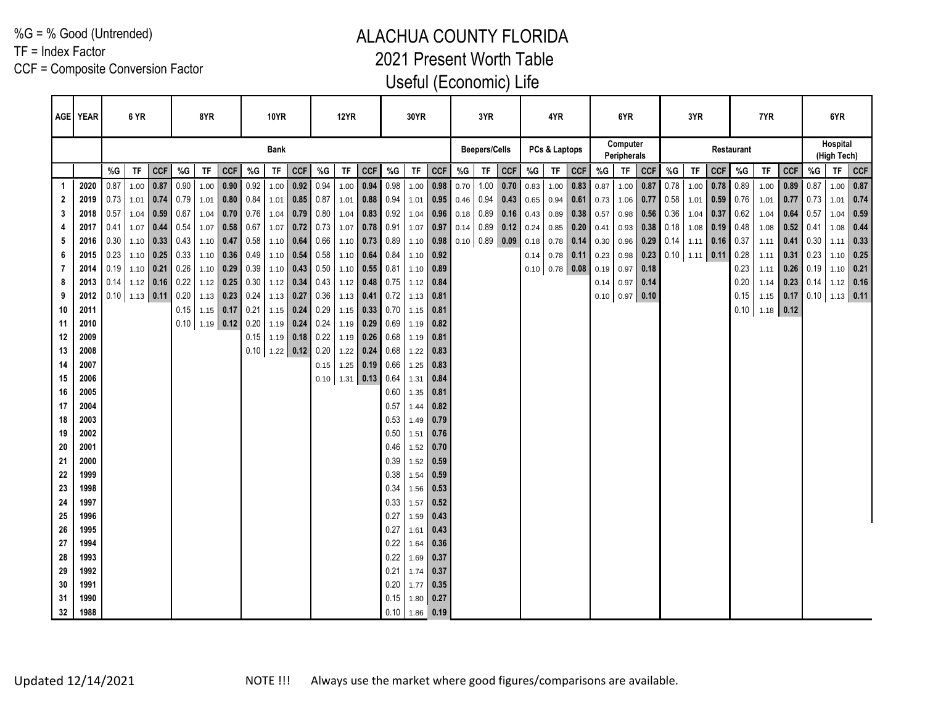TF = Index Factor

CCF = Composite Conversion Factor

|          | AGE YEAR     |      | 6 YR |                       |      | 8YR  |                  |             | <b>10YR</b> |                                                  |              | <b>12YR</b> |                       |              | <b>30YR</b>         |              |      | 3YR                  |            |      | 4YR                                  |             |      | 6YR                            |             |             | 3YR              |             |            | 7YR  |             |               | 6YR                     |            |
|----------|--------------|------|------|-----------------------|------|------|------------------|-------------|-------------|--------------------------------------------------|--------------|-------------|-----------------------|--------------|---------------------|--------------|------|----------------------|------------|------|--------------------------------------|-------------|------|--------------------------------|-------------|-------------|------------------|-------------|------------|------|-------------|---------------|-------------------------|------------|
|          |              |      |      |                       |      |      |                  |             | <b>Bank</b> |                                                  |              |             |                       |              |                     |              |      | <b>Beepers/Cells</b> |            |      | PCs & Laptops                        |             |      | Computer<br><b>Peripherals</b> |             |             |                  |             | Restaurant |      |             |               | Hospital<br>(High Tech) |            |
|          |              | %G   | TF   | CCF                   | %G   | TF   | CCF              | %G          | TF          | <b>CCF</b>                                       | %G           | TF          | CCF                   | $\%G$        | TF                  | CCF          | %G   | TF                   | <b>CCF</b> | %G   |                                      | TF CCF      | %G   | TF                             | <b>CCF</b>  | %G          | <b>TF</b>        | <b>CCF</b>  | %G         | TF.  | <b>CCF</b>  | %G            | <b>TF</b>               | <b>CCF</b> |
|          | 2020         | 0.87 | 1.00 | 0.87                  | 0.90 | 1.00 | 0.90             | 0.92        | 1.00        | 0.92                                             | 0.94         | 1.00        | 0.94                  | 0.98         | 1.00                | 0.98         | 0.70 | 1.00                 | 0.70       | 0.83 |                                      | $1.00$ 0.83 | 0.87 | 1.00                           | 0.87        | 0.78        | 1.00             | 0.78        | 0.89       | 1.00 | 0.89        | 0.87          | 1.00                    | 0.87       |
| 2        | 2019         | 0.73 | 1.01 | $0.74$                | 0.79 | 1.01 | 0.80             | 0.84        | 1.01        | $0.85$ 0.87                                      |              | 1.01        | $0.88$ 0.94           |              | 1.01                | 0.95         | 0.46 | 0.94                 | 0.43       | 0.65 | $0.94$ 0.61                          |             | 0.73 | 1.06                           | $0.77$ 0.58 |             | 1.01             | 0.59        | 0.76       | 1.01 | 0.77        | 0.73          | 1.01                    | 0.74       |
| 3        | 2018         | 0.57 | 1.04 | 0.59                  | 0.67 | 1.04 |                  | $0.70$ 0.76 | 1.04        | 0.79                                             | $\vert$ 0.80 | 1.04        | $0.83$ 0.92           |              | 1.04                | 0.96         | 0.18 | 0.89                 | 0.16       | 0.43 | $0.89$ 0.38 0.57                     |             |      | 0.98                           | $0.56$ 0.36 |             |                  | $1.04$ 0.37 | 0.62       | 1.04 | 0.64        | 0.57          | 1.04                    | 0.59       |
| 4        | 2017         | 0.41 | 1.07 | 0.44                  | 0.54 | 1.07 | 0.58             | 0.67        | 1.07        | 0.72                                             | 0.73         | 1.07        | $0.78$ 0.91           |              | 1.07                | 0.97         | 0.14 | 0.89                 | 0.12       | 0.24 | $0.85$ 0.20                          |             | 0.41 | 0.93                           |             | $0.38$ 0.18 | 1.08             | 0.19        | 0.48       | 1.08 | 0.52        | 0.41          | 1.08                    | 0.44       |
| 5        | 2016         | 0.30 | 1.10 | $0.33$                | 0.43 | 1.10 | 0.47             | 0.58        | 1.10        | 0.64                                             | 0.66         | 1.10        | $0.73$ 0.89           |              | 1.10                | 0.98         |      | $0.10$ 0.89 0.09     |            | 0.18 | $0.78$ 0.14                          |             | 0.30 | 0.96                           | 0.29        | 0.14        | $1.11$ 0.16      |             | 0.37       | 1.11 | 0.41        | 0.30          | 1.11                    | 0.33       |
| 6        | 2015         | 0.23 | 1.10 | 0.25                  | 0.33 | 1.10 | 0.36             | 0.49        | 1.10        | 0.54                                             | 0.58         | 1.10        | $0.64$ 0.84           |              | 1.10                | 0.92         |      |                      |            | 0.14 | $0.78$ 0.11                          |             | 0.23 | 0.98                           | 0.23        |             | $0.10$ 1.11 0.11 |             | 0.28       | 1.11 | 0.31        | 0.23          | 1.10                    | 0.25       |
| 7        | 2014         | 0.19 | 1.10 | $0.21$ 0.26           |      | 1.10 | 0.29             | 0.39        | 1.10        | 0.43                                             | 0.50         | 1.10        | $0.55$ 0.81           |              | 1.10                | 0.89         |      |                      |            |      | $0.10 \mid 0.78 \mid 0.08 \mid 0.19$ |             |      | 0.97                           | 0.18        |             |                  |             | 0.23       | 1.11 | 0.26        | 0.19          | $1.10$ 0.21             |            |
| 8        | 2013         | 0.14 |      | $1.12$ 0.16 0.22      |      |      | $1.12$ 0.25 0.30 |             | 1.12        | 0.34                                             | 0.43         | 1.12        | $0.48$ 0.75           |              | 1.12                | 0.84         |      |                      |            |      |                                      |             | 0.14 | 0.97                           | 0.14        |             |                  |             | 0.20       | 1.14 |             | $0.23 \ 0.14$ | $1.12$ 0.16             |            |
| 9        | 2012         |      |      | $0.10$ 1.13 0.11 0.20 |      |      | 1.13 0.23 0.24   |             |             | $1.13$ 0.27                                      | 0.36         | 1.13        | $0.41 \ 0.72$         |              | 1.13                | 0.81         |      |                      |            |      |                                      |             |      | $0.10 \ 0.97$                  | 0.10        |             |                  |             | 0.15       | 1.15 | 0.17        |               | $0.10$ 1.13 0.11        |            |
| 10       | 2011         |      |      |                       | 0.15 |      | $1.15$ 0.17 0.21 |             |             | $1.15$ 0.24 0.29                                 |              | 1.15        | $0.33 \,   \, 0.70$   |              | 1.15                | 0.81         |      |                      |            |      |                                      |             |      |                                |             |             |                  |             | 0.10       |      | $1.18$ 0.12 |               |                         |            |
| 11       | 2010         |      |      |                       |      |      |                  |             |             | $0.10$   1.19   0.12   0.20   1.19   0.24   0.24 |              | 1.19        | $0.29 \ 0.69$         |              | 1.19                | 0.82         |      |                      |            |      |                                      |             |      |                                |             |             |                  |             |            |      |             |               |                         |            |
| 12       | 2009         |      |      |                       |      |      |                  |             |             | $0.15$ 1.19 0.18 0.22                            |              | 1.19        | $0.26$ 0.68           |              | 1.19                | 0.81         |      |                      |            |      |                                      |             |      |                                |             |             |                  |             |            |      |             |               |                         |            |
| 13       | 2008         |      |      |                       |      |      |                  |             |             | $0.10$ 1.22 0.12 0.20                            |              | 1.22        | $0.24 \ 0.68$         |              | 1.22                | 0.83         |      |                      |            |      |                                      |             |      |                                |             |             |                  |             |            |      |             |               |                         |            |
| 14       | 2007         |      |      |                       |      |      |                  |             |             |                                                  | 0.15         |             | $1.25$ 0.19 0.66      |              | 1.25                | 0.83         |      |                      |            |      |                                      |             |      |                                |             |             |                  |             |            |      |             |               |                         |            |
| 15       | 2006         |      |      |                       |      |      |                  |             |             |                                                  |              |             | $0.10$ 1.31 0.13 0.64 |              | 1.31                | 0.84         |      |                      |            |      |                                      |             |      |                                |             |             |                  |             |            |      |             |               |                         |            |
| 16       | 2005         |      |      |                       |      |      |                  |             |             |                                                  |              |             |                       | 0.60         | 1.35                | 0.81         |      |                      |            |      |                                      |             |      |                                |             |             |                  |             |            |      |             |               |                         |            |
| 17       | 2004         |      |      |                       |      |      |                  |             |             |                                                  |              |             |                       | 0.57         | 1.44                | 0.82         |      |                      |            |      |                                      |             |      |                                |             |             |                  |             |            |      |             |               |                         |            |
| 18       | 2003         |      |      |                       |      |      |                  |             |             |                                                  |              |             |                       | 0.53         | 1.49                | 0.79         |      |                      |            |      |                                      |             |      |                                |             |             |                  |             |            |      |             |               |                         |            |
| 19       | 2002         |      |      |                       |      |      |                  |             |             |                                                  |              |             |                       | 0.50         | 1.51                | 0.76         |      |                      |            |      |                                      |             |      |                                |             |             |                  |             |            |      |             |               |                         |            |
| 20       | 2001         |      |      |                       |      |      |                  |             |             |                                                  |              |             |                       | 0.46         | 1.52                | 0.70         |      |                      |            |      |                                      |             |      |                                |             |             |                  |             |            |      |             |               |                         |            |
| 21       | 2000         |      |      |                       |      |      |                  |             |             |                                                  |              |             |                       | 0.39         | 1.52                | 0.59         |      |                      |            |      |                                      |             |      |                                |             |             |                  |             |            |      |             |               |                         |            |
| 22       | 1999         |      |      |                       |      |      |                  |             |             |                                                  |              |             |                       | 0.38         | 1.54                | 0.59         |      |                      |            |      |                                      |             |      |                                |             |             |                  |             |            |      |             |               |                         |            |
| 23       | 1998         |      |      |                       |      |      |                  |             |             |                                                  |              |             |                       | 0.34         | 1.56                | 0.53         |      |                      |            |      |                                      |             |      |                                |             |             |                  |             |            |      |             |               |                         |            |
| 24       | 1997         |      |      |                       |      |      |                  |             |             |                                                  |              |             |                       | 0.33         | 1.57                | 0.52         |      |                      |            |      |                                      |             |      |                                |             |             |                  |             |            |      |             |               |                         |            |
| 25       | 1996         |      |      |                       |      |      |                  |             |             |                                                  |              |             |                       | 0.27         | 1.59                | 0.43         |      |                      |            |      |                                      |             |      |                                |             |             |                  |             |            |      |             |               |                         |            |
| 26       | 1995         |      |      |                       |      |      |                  |             |             |                                                  |              |             |                       | 0.27         | 1.61                | 0.43         |      |                      |            |      |                                      |             |      |                                |             |             |                  |             |            |      |             |               |                         |            |
| 27       | 1994         |      |      |                       |      |      |                  |             |             |                                                  |              |             |                       | 0.22         | 1.64                | 0.36         |      |                      |            |      |                                      |             |      |                                |             |             |                  |             |            |      |             |               |                         |            |
| 28       | 1993<br>1992 |      |      |                       |      |      |                  |             |             |                                                  |              |             |                       | 0.22<br>0.21 | 1.69                | 0.37<br>0.37 |      |                      |            |      |                                      |             |      |                                |             |             |                  |             |            |      |             |               |                         |            |
| 29<br>30 | 1991         |      |      |                       |      |      |                  |             |             |                                                  |              |             |                       | 0.20         | 1.74                | 0.35         |      |                      |            |      |                                      |             |      |                                |             |             |                  |             |            |      |             |               |                         |            |
| 31       | 1990         |      |      |                       |      |      |                  |             |             |                                                  |              |             |                       | 0.15         | 1.77                | 0.27         |      |                      |            |      |                                      |             |      |                                |             |             |                  |             |            |      |             |               |                         |            |
| 32       | 1988         |      |      |                       |      |      |                  |             |             |                                                  |              |             |                       | 0.10         | 1.80<br>$1.86$ 0.19 |              |      |                      |            |      |                                      |             |      |                                |             |             |                  |             |            |      |             |               |                         |            |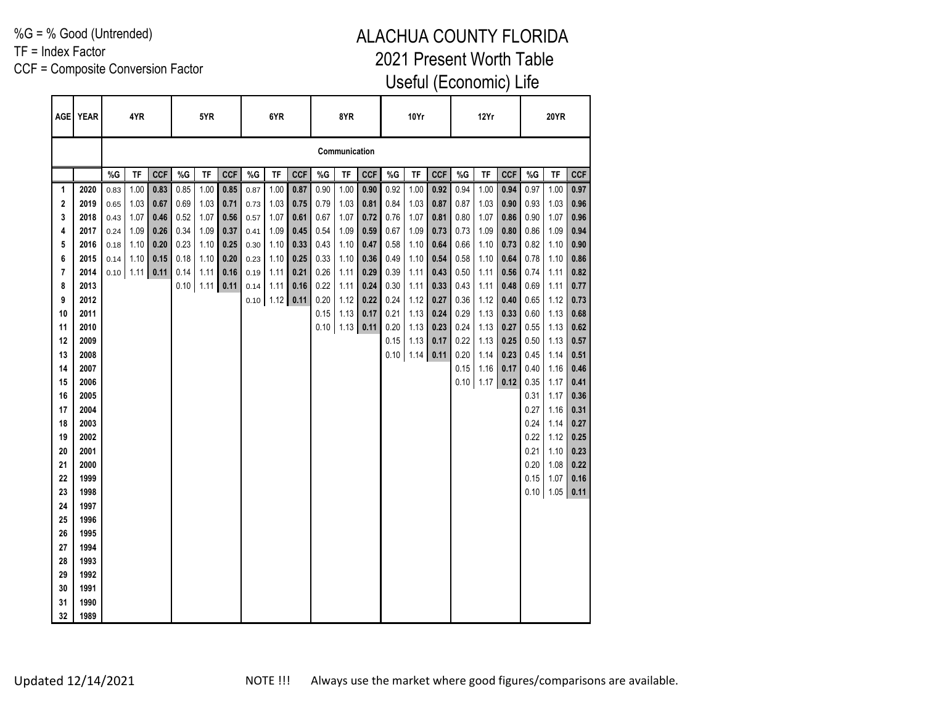TF = Index Factor

CCF = Composite Conversion Factor

|                | AGE YEAR     |      | 4YR              |            |      | 5YR  |            |      | 6YR              |            |       | 8YR           |            |       | 10Yr |            |       | 12Yr        |            |      | <b>20YR</b> |            |
|----------------|--------------|------|------------------|------------|------|------|------------|------|------------------|------------|-------|---------------|------------|-------|------|------------|-------|-------------|------------|------|-------------|------------|
|                |              |      |                  |            |      |      |            |      |                  |            |       | Communication |            |       |      |            |       |             |            |      |             |            |
|                |              | %G   | TF               | <b>CCF</b> | %G   | TF   | <b>CCF</b> | %G   | TF               | <b>CCF</b> | $\%G$ | TF            | <b>CCF</b> | $\%G$ | TF   | <b>CCF</b> | $\%G$ | TF          | <b>CCF</b> | %G   | TF          | <b>CCF</b> |
| 1              | 2020         | 0.83 | 1.00             | 0.83       | 0.85 | 1.00 | 0.85       | 0.87 | 1.00             | 0.87       | 0.90  | 1.00          | 0.90       | 0.92  | 1.00 | 0.92       | 0.94  | 1.00        | 0.94       | 0.97 | 1.00        | 0.97       |
| 2              | 2019         | 0.65 | 1.03             | 0.67       | 0.69 | 1.03 | 0.71       | 0.73 | 1.03             | 0.75       | 0.79  | 1.03          | 0.81       | 0.84  | 1.03 | 0.87       | 0.87  | 1.03        | 0.90       | 0.93 | 1.03        | 0.96       |
| 3              | 2018         | 0.43 | 1.07             | 0.46       | 0.52 | 1.07 | 0.56       | 0.57 | 1.07             | 0.61       | 0.67  | 1.07          | 0.72       | 0.76  | 1.07 | 0.81       | 0.80  | 1.07        | 0.86       | 0.90 | 1.07        | 0.96       |
| 4              | 2017         | 0.24 | 1.09             | 0.26       | 0.34 | 1.09 | 0.37       | 0.41 | 1.09             | 0.45       | 0.54  | 1.09          | 0.59       | 0.67  | 1.09 | 0.73       | 0.73  | 1.09        | 0.80       | 0.86 | 1.09        | 0.94       |
| 5              | 2016         | 0.18 | 1.10             | 0.20       | 0.23 | 1.10 | 0.25       | 0.30 | 1.10             | 0.33       | 0.43  | 1.10          | 0.47       | 0.58  | 1.10 | 0.64       | 0.66  | 1.10        | 0.73       | 0.82 | 1.10        | 0.90       |
| 6              | 2015         | 0.14 | 1.10             | 0.15       | 0.18 | 1.10 | 0.20       | 0.23 | 1.10             | 0.25       | 0.33  | 1.10          | 0.36       | 0.49  | 1.10 | 0.54       | 0.58  | 1.10        | 0.64       | 0.78 | 1.10        | 0.86       |
| $\overline{7}$ | 2014         |      | $0.10$ 1.11 0.11 |            | 0.14 | 1.11 | 0.16       | 0.19 | 1.11             | 0.21       | 0.26  | 1.11          | 0.29       | 0.39  | 1.11 | 0.43       | 0.50  | 1.11        | 0.56       | 0.74 | 1.11        | 0.82       |
| 8              | 2013         |      |                  |            | 0.10 | 1.11 | 0.11       | 0.14 | 1.11             | 0.16       | 0.22  | 1.11          | 0.24       | 0.30  | 1.11 | 0.33       | 0.43  | 1.11        | 0.48       | 0.69 | 1.11        | 0.77       |
| 9              | 2012         |      |                  |            |      |      |            |      | $0.10$ 1.12 0.11 |            | 0.20  | 1.12          | 0.22       | 0.24  | 1.12 | 0.27       | 0.36  | 1.12        | 0.40       | 0.65 | 1.12        | 0.73       |
| 10             | 2011         |      |                  |            |      |      |            |      |                  |            | 0.15  | $1.13$ 0.17   |            | 0.21  | 1.13 | 0.24       | 0.29  | 1.13        | 0.33       | 0.60 | 1.13        | 0.68       |
| 11             | 2010         |      |                  |            |      |      |            |      |                  |            | 0.10  | $1.13$ 0.11   |            | 0.20  | 1.13 | 0.23       | 0.24  | 1.13        | 0.27       | 0.55 | 1.13        | 0.62       |
| 12             | 2009         |      |                  |            |      |      |            |      |                  |            |       |               |            | 0.15  | 1.13 | 0.17       | 0.22  | 1.13        | 0.25       | 0.50 | 1.13        | 0.57       |
| 13             | 2008         |      |                  |            |      |      |            |      |                  |            |       |               |            | 0.10  | 1.14 | 0.11       | 0.20  | 1.14        | 0.23       | 0.45 | 1.14        | 0.51       |
| 14             | 2007         |      |                  |            |      |      |            |      |                  |            |       |               |            |       |      |            | 0.15  | 1.16        | 0.17       | 0.40 | 1.16        | 0.46       |
| 15             | 2006         |      |                  |            |      |      |            |      |                  |            |       |               |            |       |      |            |       | $0.10$ 1.17 | 0.12       | 0.35 | 1.17        | 0.41       |
| 16             | 2005         |      |                  |            |      |      |            |      |                  |            |       |               |            |       |      |            |       |             |            | 0.31 | 1.17        | 0.36       |
| 17             | 2004         |      |                  |            |      |      |            |      |                  |            |       |               |            |       |      |            |       |             |            | 0.27 | 1.16        | 0.31       |
| 18             | 2003         |      |                  |            |      |      |            |      |                  |            |       |               |            |       |      |            |       |             |            | 0.24 | 1.14        | 0.27       |
| 19             | 2002         |      |                  |            |      |      |            |      |                  |            |       |               |            |       |      |            |       |             |            | 0.22 | 1.12        | 0.25       |
| 20             | 2001         |      |                  |            |      |      |            |      |                  |            |       |               |            |       |      |            |       |             |            | 0.21 | 1.10        | 0.23       |
| 21             | 2000         |      |                  |            |      |      |            |      |                  |            |       |               |            |       |      |            |       |             |            | 0.20 | 1.08        | 0.22       |
| 22             | 1999         |      |                  |            |      |      |            |      |                  |            |       |               |            |       |      |            |       |             |            | 0.15 | 1.07        | 0.16       |
| 23             | 1998         |      |                  |            |      |      |            |      |                  |            |       |               |            |       |      |            |       |             |            | 0.10 | 1.05        | 0.11       |
| 24             | 1997         |      |                  |            |      |      |            |      |                  |            |       |               |            |       |      |            |       |             |            |      |             |            |
| 25             | 1996         |      |                  |            |      |      |            |      |                  |            |       |               |            |       |      |            |       |             |            |      |             |            |
| 26             | 1995         |      |                  |            |      |      |            |      |                  |            |       |               |            |       |      |            |       |             |            |      |             |            |
| 27<br>28       | 1994<br>1993 |      |                  |            |      |      |            |      |                  |            |       |               |            |       |      |            |       |             |            |      |             |            |
| 29             | 1992         |      |                  |            |      |      |            |      |                  |            |       |               |            |       |      |            |       |             |            |      |             |            |
| 30             | 1991         |      |                  |            |      |      |            |      |                  |            |       |               |            |       |      |            |       |             |            |      |             |            |
| 31             | 1990         |      |                  |            |      |      |            |      |                  |            |       |               |            |       |      |            |       |             |            |      |             |            |
| 32             | 1989         |      |                  |            |      |      |            |      |                  |            |       |               |            |       |      |            |       |             |            |      |             |            |
|                |              |      |                  |            |      |      |            |      |                  |            |       |               |            |       |      |            |       |             |            |      |             |            |